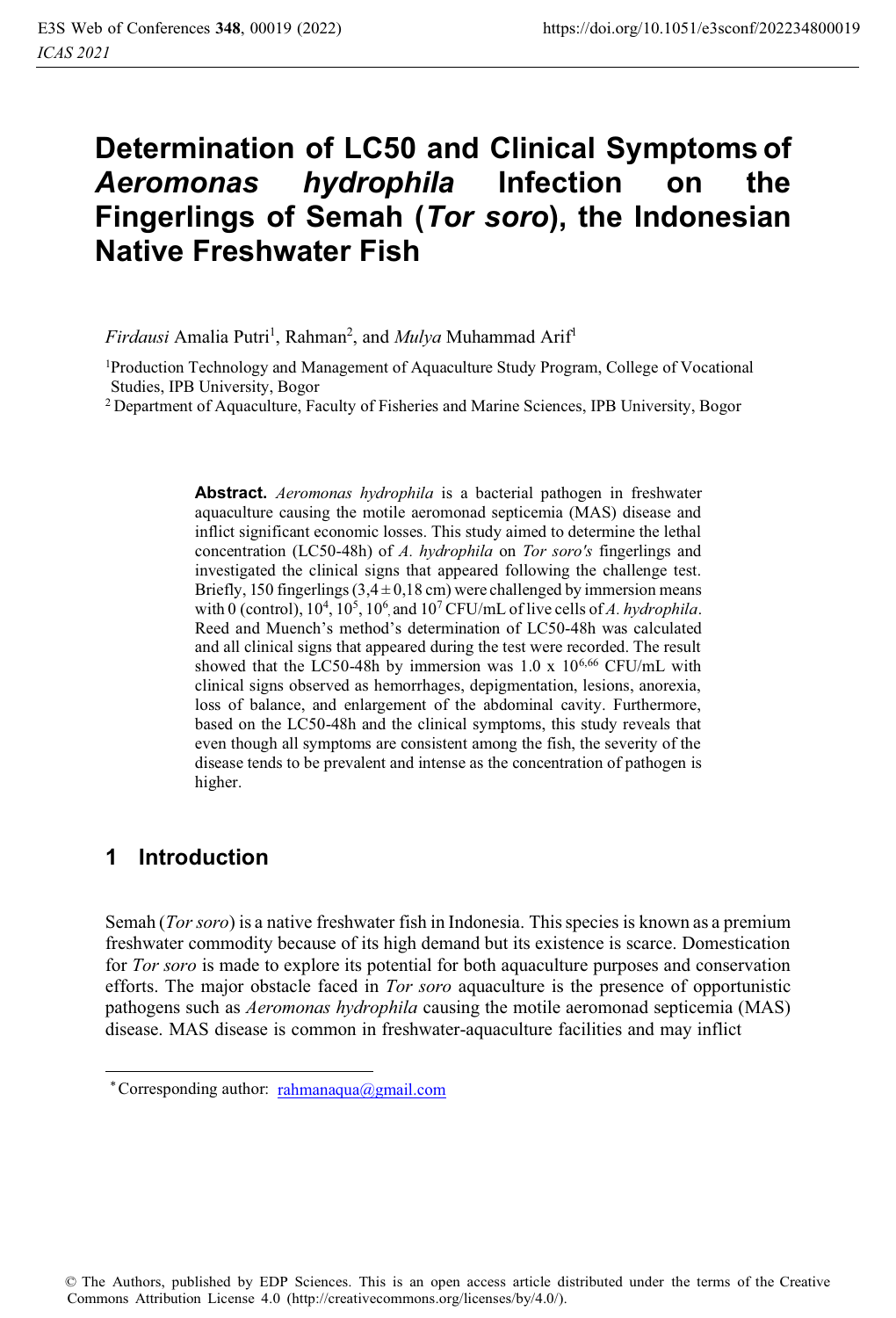# **Determination of LC50 and Clinical Symptoms of**  *Aeromonas hydrophila* **Infection on the Fingerlings of Semah (***Tor soro***), the Indonesian Native Freshwater Fish**

*Firdausi* Amalia Putri<sup>1</sup>, Rahman<sup>2</sup>, and *Mulya* Muhammad Arif<sup>1</sup>

1Production Technology and Management of Aquaculture Study Program, College of Vocational Studies, IPB University, Bogor

2 Department of Aquaculture, Faculty of Fisheries and Marine Sciences, IPB University, Bogor

with 0 (control),  $10^4$ ,  $10^5$ ,  $10^6$ , and  $10^7$  CFU/mL of live cells of *A. hydrophila*. **Abstract.** *Aeromonas hydrophila* is a bacterial pathogen in freshwater aquaculture causing the motile aeromonad septicemia (MAS) disease and inflict significant economic losses. This study aimed to determine the lethal concentration (LC50-48h) of *A. hydrophila* on *Tor soro's* fingerlings and investigated the clinical signs that appeared following the challenge test. Briefly, 150 fingerlings  $(3,4 \pm 0,18 \text{ cm})$  were challenged by immersion means Reed and Muench's method's determination of LC50-48h was calculated and all clinical signs that appeared during the test were recorded. The result showed that the LC50-48h by immersion was 1.0 x 10<sup>6,66</sup> CFU/mL with clinical signs observed as hemorrhages, depigmentation, lesions, anorexia, loss of balance, and enlargement of the abdominal cavity. Furthermore, based on the LC50-48h and the clinical symptoms, this study reveals that even though all symptoms are consistent among the fish, the severity of the disease tends to be prevalent and intense as the concentration of pathogen is higher.

### **1 Introduction**

Semah (*Tor soro*) is a native freshwater fish in Indonesia. This species is known as a premium freshwater commodity because of its high demand but its existence is scarce. Domestication for *Tor soro* is made to explore its potential for both aquaculture purposes and conservation efforts. The major obstacle faced in *Tor soro* aquaculture is the presence of opportunistic pathogens such as *Aeromonas hydrophila* causing the motile aeromonad septicemia (MAS) disease. MAS disease is common in freshwater-aquaculture facilities and may inflict

<sup>\*</sup> Corresponding author: rahmanaqua@gmail.com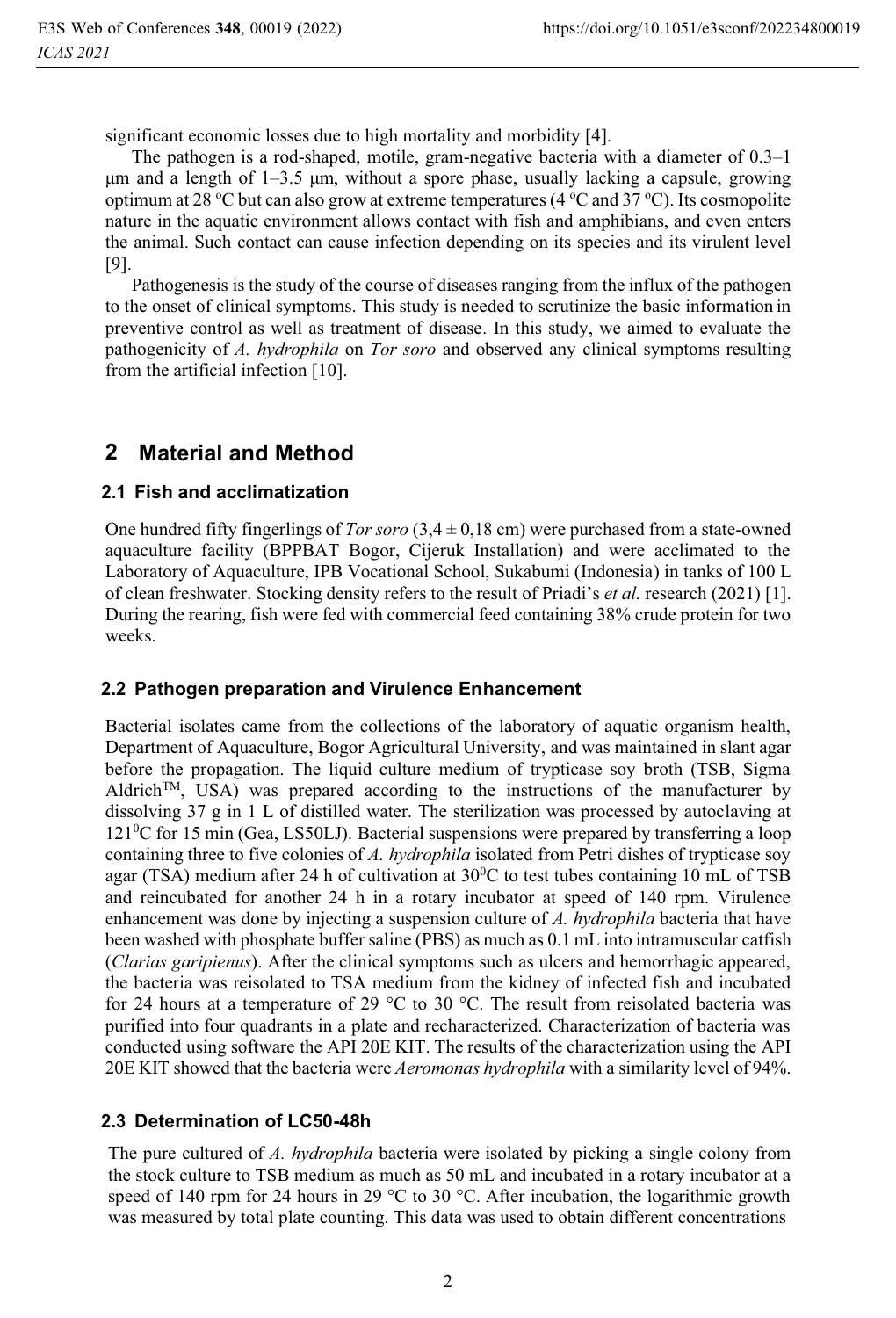significant economic losses due to high mortality and morbidity [4].

The pathogen is a rod-shaped, motile, gram-negative bacteria with a diameter of  $0.3-1$ μm and a length of  $1-3.5$  μm, without a spore phase, usually lacking a capsule, growing optimum at 28 °C but can also grow at extreme temperatures (4 °C and 37 °C). Its cosmopolite nature in the aquatic environment allows contact with fish and amphibians, and even enters the animal. Such contact can cause infection depending on its species and its virulent level [9].

Pathogenesis is the study of the course of diseases ranging from the influx of the pathogen to the onset of clinical symptoms. This study is needed to scrutinize the basic information in preventive control as well as treatment of disease. In this study, we aimed to evaluate the pathogenicity of *A. hydrophila* on *Tor soro* and observed any clinical symptoms resulting from the artificial infection [10].

### **2 Material and Method**

#### **2.1 Fish and acclimatization**

One hundred fifty fingerlings of *Tor soro*  $(3,4 \pm 0,18 \text{ cm})$  were purchased from a state-owned aquaculture facility (BPPBAT Bogor, Cijeruk Installation) and were acclimated to the Laboratory of Aquaculture, IPB Vocational School, Sukabumi (Indonesia) in tanks of 100 L of clean freshwater. Stocking density refers to the result of Priadi's *et al.* research (2021) [1]. During the rearing, fish were fed with commercial feed containing 38% crude protein for two weeks.

#### **2.2 Pathogen preparation and Virulence Enhancement**

Bacterial isolates came from the collections of the laboratory of aquatic organism health, Department of Aquaculture, Bogor Agricultural University, and was maintained in slant agar before the propagation. The liquid culture medium of trypticase soy broth (TSB, Sigma Aldrich<sup>TM</sup>, USA) was prepared according to the instructions of the manufacturer by dissolving 37 g in 1 L of distilled water. The sterilization was processed by autoclaving at 121<sup>0</sup>C for 15 min (Gea, LS50LJ). Bacterial suspensions were prepared by transferring a loop containing three to five colonies of *A. hydrophila* isolated from Petri dishes of trypticase soy agar (TSA) medium after 24 h of cultivation at  $30^{\circ}$ C to test tubes containing 10 mL of TSB and reincubated for another 24 h in a rotary incubator at speed of 140 rpm. Virulence enhancement was done by injecting a suspension culture of *A. hydrophila* bacteria that have been washed with phosphate buffer saline (PBS) as much as 0.1 mL into intramuscular catfish (*Clarias garipienus*). After the clinical symptoms such as ulcers and hemorrhagic appeared, the bacteria was reisolated to TSA medium from the kidney of infected fish and incubated for 24 hours at a temperature of 29  $\degree$ C to 30  $\degree$ C. The result from reisolated bacteria was purified into four quadrants in a plate and recharacterized. Characterization of bacteria was conducted using software the API 20E KIT. The results of the characterization using the API 20E KIT showed that the bacteria were *Aeromonas hydrophila* with a similarity level of 94%.

#### **2.3 Determination of LC50-48h**

The pure cultured of *A. hydrophila* bacteria were isolated by picking a single colony from the stock culture to TSB medium as much as 50 mL and incubated in a rotary incubator at a speed of 140 rpm for 24 hours in 29 °C to 30 °C. After incubation, the logarithmic growth was measured by total plate counting. This data was used to obtain different concentrations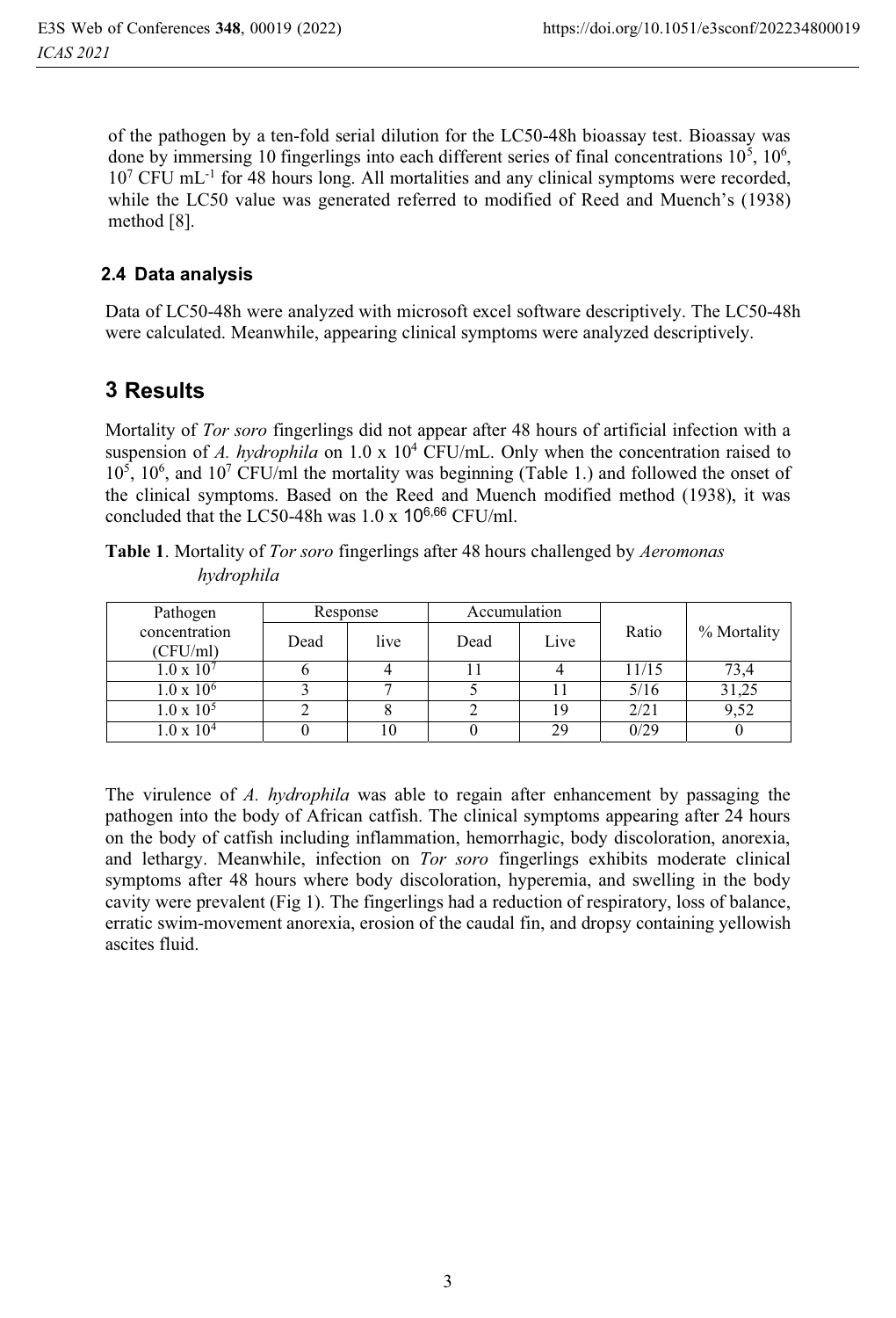of the pathogen by a ten-fold serial dilution for the LC50-48h bioassay test. Bioassay was done by immersing 10 fingerlings into each different series of final concentrations  $10^5$ ,  $10^6$ , 10<sup>7</sup> CFU mL<sup>-1</sup> for 48 hours long. All mortalities and any clinical symptoms were recorded, while the LC50 value was generated referred to modified of Reed and Muench's (1938) method [8].

### **2.4 Data analysis**

Data of LC50-48h were analyzed with microsoft excel software descriptively. The LC50-48h were calculated. Meanwhile, appearing clinical symptoms were analyzed descriptively.

# **3Results**

Mortality of *Tor soro* fingerlings did not appear after 48 hours of artificial infection with a suspension of *A. hydrophila* on 1.0 x 10<sup>4</sup> CFU/mL. Only when the concentration raised to 10<sup>5</sup>, 10<sup>6</sup>, and 10<sup>7</sup> CFU/ml the mortality was beginning (Table 1.) and followed the onset of the clinical symptoms. Based on the Reed and Muench modified method (1938), it was concluded that the LC50-48h was  $1.0 \times 10^{6,66}$  CFU/ml.

|            | Table 1. Mortality of Tor soro fingerlings after 48 hours challenged by Aeromonas |
|------------|-----------------------------------------------------------------------------------|
| hydrophila |                                                                                   |

| Pathogen                  | Response |      | Accumulation |      |       |             |
|---------------------------|----------|------|--------------|------|-------|-------------|
| concentration<br>(CFU/ml) | Dead     | live | Dead         | Live | Ratio | % Mortality |
| $1.0 \times 10^{7}$       |          |      |              |      | 11/15 | 73.4        |
| $1.0 \times 10^6$         |          |      |              |      | 5/16  | 31,25       |
| $1.0 \times 10^5$         |          |      |              | 19   | 2/21  | 9,52        |
| $1.0 \times 10^{4}$       |          | 10   |              | 29   | 0/29  |             |

The virulence of *A. hydrophila* was able to regain after enhancement by passaging the pathogen into the body of African catfish. The clinical symptoms appearing after 24 hours on the body of catfish including inflammation, hemorrhagic, body discoloration, anorexia, and lethargy. Meanwhile, infection on *Tor soro* fingerlings exhibits moderate clinical symptoms after 48 hours where body discoloration, hyperemia, and swelling in the body cavity were prevalent (Fig 1). The fingerlings had a reduction of respiratory, loss of balance, erratic swim-movement anorexia, erosion of the caudal fin, and dropsy containing yellowish ascites fluid.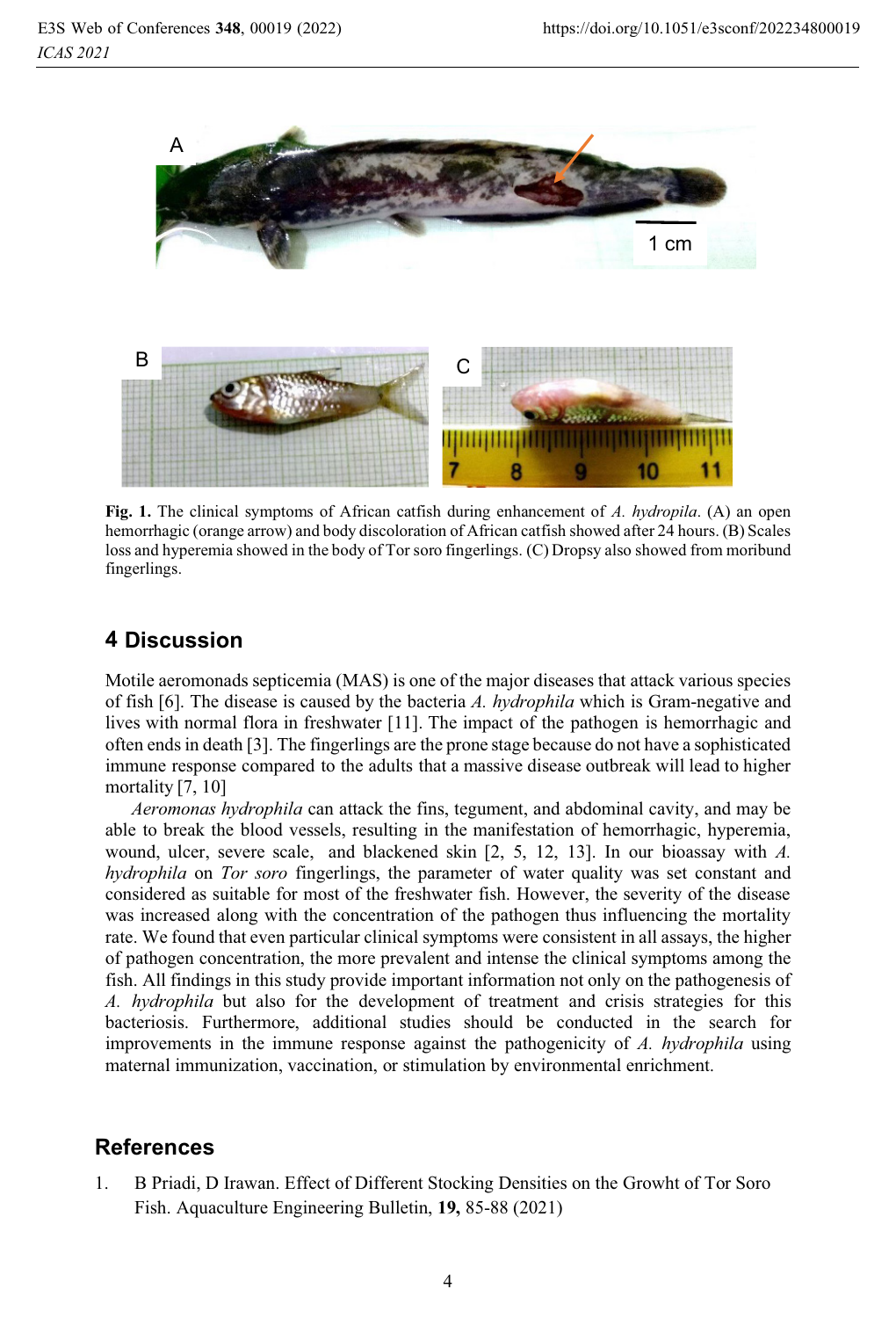

**Fig. 1.** The clinical symptoms of African catfish during enhancement of *A. hydropila*. (A) an open hemorrhagic (orange arrow) and body discoloration of African catfish showed after 24 hours. (B) Scales loss and hyperemia showed in the body of Tor soro fingerlings. (C) Dropsy also showed from moribund fingerlings.

# **4Discussion**

Motile aeromonads septicemia (MAS) is one of the major diseases that attack various species of fish [6]. The disease is caused by the bacteria *A. hydrophila* which is Gram-negative and lives with normal flora in freshwater [11]. The impact of the pathogen is hemorrhagic and often ends in death [3]. The fingerlings are the prone stage because do not have a sophisticated immune response compared to the adults that a massive disease outbreak will lead to higher mortality [7, 10]

*Aeromonas hydrophila* can attack the fins, tegument, and abdominal cavity, and may be able to break the blood vessels, resulting in the manifestation of hemorrhagic, hyperemia, wound, ulcer, severe scale, and blackened skin [2, 5, 12, 13]. In our bioassay with *A. hydrophila* on *Tor soro* fingerlings, the parameter of water quality was set constant and considered as suitable for most of the freshwater fish. However, the severity of the disease was increased along with the concentration of the pathogen thus influencing the mortality rate. We found that even particular clinical symptoms were consistent in all assays, the higher of pathogen concentration, the more prevalent and intense the clinical symptoms among the fish. All findings in this study provide important information not only on the pathogenesis of *A. hydrophila* but also for the development of treatment and crisis strategies for this bacteriosis. Furthermore, additional studies should be conducted in the search for improvements in the immune response against the pathogenicity of *A. hydrophila* using maternal immunization, vaccination, or stimulation by environmental enrichment.

### **References**

1. B Priadi, D Irawan. Effect of Different Stocking Densities on the Growht of Tor Soro Fish. Aquaculture Engineering Bulletin, **19,** 85-88 (2021)